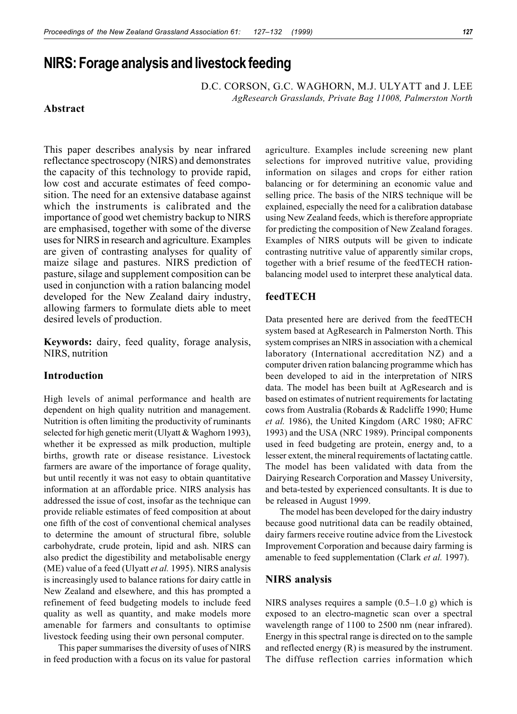# **NIRS: Forage analysis and livestock feeding**

D.C. CORSON, G.C. WAGHORN, M.J. ULYATT and J. LEE *AgResearch Grasslands, Private Bag 11008, Palmerston North*

# **Abstract**

This paper describes analysis by near infrared reflectance spectroscopy (NIRS) and demonstrates the capacity of this technology to provide rapid, low cost and accurate estimates of feed composition. The need for an extensive database against which the instruments is calibrated and the importance of good wet chemistry backup to NIRS are emphasised, together with some of the diverse uses for NIRS in research and agriculture. Examples are given of contrasting analyses for quality of maize silage and pastures. NIRS prediction of pasture, silage and supplement composition can be used in conjunction with a ration balancing model developed for the New Zealand dairy industry, allowing farmers to formulate diets able to meet desired levels of production.

**Keywords:** dairy, feed quality, forage analysis, NIRS, nutrition

#### **Introduction**

High levels of animal performance and health are dependent on high quality nutrition and management. Nutrition is often limiting the productivity of ruminants selected for high genetic merit (Ulyatt & Waghorn 1993), whether it be expressed as milk production, multiple births, growth rate or disease resistance. Livestock farmers are aware of the importance of forage quality, but until recently it was not easy to obtain quantitative information at an affordable price. NIRS analysis has addressed the issue of cost, insofar as the technique can provide reliable estimates of feed composition at about one fifth of the cost of conventional chemical analyses to determine the amount of structural fibre, soluble carbohydrate, crude protein, lipid and ash. NIRS can also predict the digestibility and metabolisable energy (ME) value of a feed (Ulyatt *et al.* 1995). NIRS analysis is increasingly used to balance rations for dairy cattle in New Zealand and elsewhere, and this has prompted a refinement of feed budgeting models to include feed quality as well as quantity, and make models more amenable for farmers and consultants to optimise livestock feeding using their own personal computer.

This paper summarises the diversity of uses of NIRS in feed production with a focus on its value for pastoral agriculture. Examples include screening new plant selections for improved nutritive value, providing information on silages and crops for either ration balancing or for determining an economic value and selling price. The basis of the NIRS technique will be explained, especially the need for a calibration database using New Zealand feeds, which is therefore appropriate for predicting the composition of New Zealand forages. Examples of NIRS outputs will be given to indicate contrasting nutritive value of apparently similar crops, together with a brief resume of the feedTECH rationbalancing model used to interpret these analytical data.

# **feedTECH**

Data presented here are derived from the feedTECH system based at AgResearch in Palmerston North. This system comprises an NIRS in association with a chemical laboratory (International accreditation NZ) and a computer driven ration balancing programme which has been developed to aid in the interpretation of NIRS data. The model has been built at AgResearch and is based on estimates of nutrient requirements for lactating cows from Australia (Robards & Radcliffe 1990; Hume *et al.* 1986), the United Kingdom (ARC 1980; AFRC 1993) and the USA (NRC 1989). Principal components used in feed budgeting are protein, energy and, to a lesser extent, the mineral requirements of lactating cattle. The model has been validated with data from the Dairying Research Corporation and Massey University, and beta-tested by experienced consultants. It is due to be released in August 1999.

The model has been developed for the dairy industry because good nutritional data can be readily obtained, dairy farmers receive routine advice from the Livestock Improvement Corporation and because dairy farming is amenable to feed supplementation (Clark *et al.* 1997).

## **NIRS analysis**

NIRS analyses requires a sample  $(0.5-1.0 \text{ g})$  which is exposed to an electro-magnetic scan over a spectral wavelength range of 1100 to 2500 nm (near infrared). Energy in this spectral range is directed on to the sample and reflected energy (R) is measured by the instrument. The diffuse reflection carries information which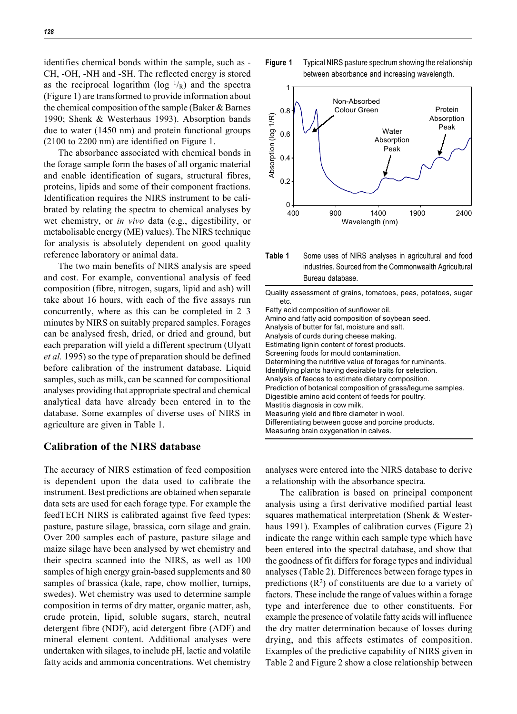identifies chemical bonds within the sample, such as - CH, -OH, -NH and -SH. The reflected energy is stored as the reciprocal logarithm ( $log^{-1}/_R$ ) and the spectra (Figure 1) are transformed to provide information about the chemical composition of the sample (Baker & Barnes 1990; Shenk & Westerhaus 1993). Absorption bands due to water (1450 nm) and protein functional groups (2100 to 2200 nm) are identified on Figure 1.

The absorbance associated with chemical bonds in the forage sample form the bases of all organic material and enable identification of sugars, structural fibres, proteins, lipids and some of their component fractions. Identification requires the NIRS instrument to be calibrated by relating the spectra to chemical analyses by wet chemistry, or *in vivo* data (e.g., digestibility, or metabolisable energy (ME) values). The NIRS technique for analysis is absolutely dependent on good quality reference laboratory or animal data.

The two main benefits of NIRS analysis are speed and cost. For example, conventional analysis of feed composition (fibre, nitrogen, sugars, lipid and ash) will take about 16 hours, with each of the five assays run concurrently, where as this can be completed in 2–3 minutes by NIRS on suitably prepared samples. Forages can be analysed fresh, dried, or dried and ground, but each preparation will yield a different spectrum (Ulyatt *et al.* 1995) so the type of preparation should be defined before calibration of the instrument database. Liquid samples, such as milk, can be scanned for compositional analyses providing that appropriate spectral and chemical analytical data have already been entered in to the database. Some examples of diverse uses of NIRS in agriculture are given in Table 1.

#### **Calibration of the NIRS database**

The accuracy of NIRS estimation of feed composition is dependent upon the data used to calibrate the instrument. Best predictions are obtained when separate data sets are used for each forage type. For example the feedTECH NIRS is calibrated against five feed types: pasture, pasture silage, brassica, corn silage and grain. Over 200 samples each of pasture, pasture silage and maize silage have been analysed by wet chemistry and their spectra scanned into the NIRS, as well as 100 samples of high energy grain-based supplements and 80 samples of brassica (kale, rape, chow mollier, turnips, swedes). Wet chemistry was used to determine sample composition in terms of dry matter, organic matter, ash, crude protein, lipid, soluble sugars, starch, neutral detergent fibre (NDF), acid detergent fibre (ADF) and mineral element content. Additional analyses were undertaken with silages, to include pH, lactic and volatile fatty acids and ammonia concentrations. Wet chemistry





**Table 1** Some uses of NIRS analyses in agricultural and food industries. Sourced from the Commonwealth Agricultural Bureau database.

Quality assessment of grains, tomatoes, peas, potatoes, sugar etc. Fatty acid composition of sunflower oil. Amino and fatty acid composition of soybean seed. Analysis of butter for fat, moisture and salt. Analysis of curds during cheese making. Estimating lignin content of forest products. Screening foods for mould contamination. Determining the nutritive value of forages for ruminants. Identifying plants having desirable traits for selection. Analysis of faeces to estimate dietary composition. Prediction of botanical composition of grass/legume samples. Digestible amino acid content of feeds for poultry. Mastitis diagnosis in cow milk. Measuring yield and fibre diameter in wool. Differentiating between goose and porcine products. Measuring brain oxygenation in calves.

analyses were entered into the NIRS database to derive a relationship with the absorbance spectra.

The calibration is based on principal component analysis using a first derivative modified partial least squares mathematical interpretation (Shenk & Westerhaus 1991). Examples of calibration curves (Figure 2) indicate the range within each sample type which have been entered into the spectral database, and show that the goodness of fit differs for forage types and individual analyses (Table 2). Differences between forage types in predictions  $(R^2)$  of constituents are due to a variety of factors. These include the range of values within a forage type and interference due to other constituents. For example the presence of volatile fatty acids will influence the dry matter determination because of losses during drying, and this affects estimates of composition. Examples of the predictive capability of NIRS given in Table 2 and Figure 2 show a close relationship between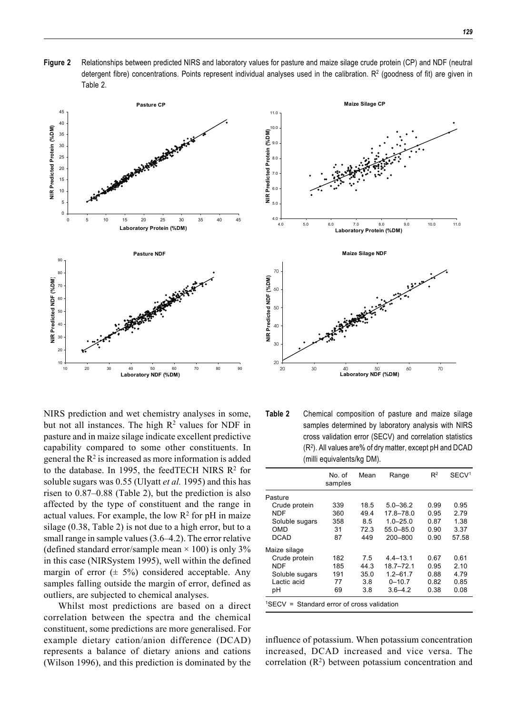**Figure 2** Relationships between predicted NIRS and laboratory values for pasture and maize silage crude protein (CP) and NDF (neutral detergent fibre) concentrations. Points represent individual analyses used in the calibration. R<sup>2</sup> (goodness of fit) are given in Table 2.



NIRS prediction and wet chemistry analyses in some, but not all instances. The high  $R^2$  values for NDF in pasture and in maize silage indicate excellent predictive capability compared to some other constituents. In general the  $R^2$  is increased as more information is added to the database. In 1995, the feedTECH NIRS  $R^2$  for soluble sugars was 0.55 (Ulyatt *et al.* 1995) and this has risen to 0.87–0.88 (Table 2), but the prediction is also affected by the type of constituent and the range in actual values. For example, the low  $R^2$  for pH in maize silage (0.38, Table 2) is not due to a high error, but to a small range in sample values (3.6–4.2). The error relative (defined standard error/sample mean  $\times$  100) is only 3% in this case (NIRSystem 1995), well within the defined margin of error  $(\pm 5\%)$  considered acceptable. Any samples falling outside the margin of error, defined as outliers, are subjected to chemical analyses.

Whilst most predictions are based on a direct correlation between the spectra and the chemical constituent, some predictions are more generalised. For example dietary cation/anion difference (DCAD) represents a balance of dietary anions and cations (Wilson 1996), and this prediction is dominated by the



**Table 2** Chemical composition of pasture and maize silage samples determined by laboratory analysis with NIRS cross validation error (SECV) and correlation statistics  $(R<sup>2</sup>)$ . All values are% of dry matter, except pH and DCAD (milli equivalents/kg DM).

|                | No. of<br>samples | Mean | Range         | R <sup>2</sup> | SECV <sup>1</sup> |
|----------------|-------------------|------|---------------|----------------|-------------------|
| Pasture        |                   |      |               |                |                   |
| Crude protein  | 339               | 18.5 | $5.0 - 36.2$  | 0.99           | 0.95              |
| <b>NDF</b>     | 360               | 49.4 | 17.8-78.0     | 0.95           | 2.79              |
| Soluble sugars | 358               | 8.5  | $1.0 - 25.0$  | 0.87           | 1.38              |
| OMD            | 31                | 72.3 | 55.0-85.0     | 0.90           | 3.37              |
| <b>DCAD</b>    | 87                | 449  | 200-800       | 0.90           | 57.58             |
| Maize silage   |                   |      |               |                |                   |
| Crude protein  | 182               | 7.5  | $4.4 - 13.1$  | 0.67           | 0.61              |
| <b>NDF</b>     | 185               | 44.3 | $18.7 - 72.1$ | 0.95           | 2.10              |
| Soluble sugars | 191               | 35.0 | $1.2 - 61.7$  | 0.88           | 4.79              |
| Lactic acid    | 77                | 3.8  | $0 - 10.7$    | 0.82           | 0.85              |
| рH             | 69                | 3.8  | $3.6 - 4.2$   | 0.38           | 0.08              |

influence of potassium. When potassium concentration increased, DCAD increased and vice versa. The correlation  $(R^2)$  between potassium concentration and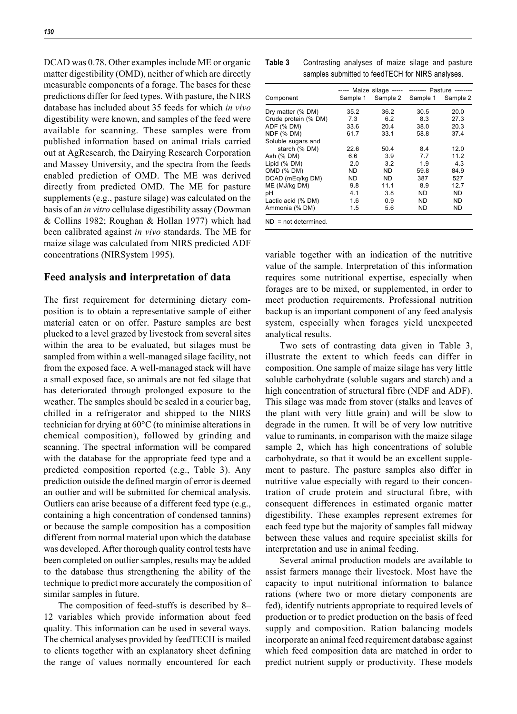DCAD was 0.78. Other examples include ME or organic matter digestibility (OMD), neither of which are directly measurable components of a forage. The bases for these predictions differ for feed types. With pasture, the NIRS database has included about 35 feeds for which *in vivo* digestibility were known, and samples of the feed were available for scanning. These samples were from published information based on animal trials carried out at AgResearch, the Dairying Research Corporation and Massey University, and the spectra from the feeds enabled prediction of OMD. The ME was derived directly from predicted OMD. The ME for pasture supplements (e.g., pasture silage) was calculated on the basis of an *in vitro* cellulase digestibility assay (Dowman & Collins 1982; Roughan & Hollan 1977) which had been calibrated against *in vivo* standards. The ME for maize silage was calculated from NIRS predicted ADF concentrations (NIRSystem 1995).

#### **Feed analysis and interpretation of data**

The first requirement for determining dietary composition is to obtain a representative sample of either material eaten or on offer. Pasture samples are best plucked to a level grazed by livestock from several sites within the area to be evaluated, but silages must be sampled from within a well-managed silage facility, not from the exposed face. A well-managed stack will have a small exposed face, so animals are not fed silage that has deteriorated through prolonged exposure to the weather. The samples should be sealed in a courier bag, chilled in a refrigerator and shipped to the NIRS technician for drying at 60°C (to minimise alterations in chemical composition), followed by grinding and scanning. The spectral information will be compared with the database for the appropriate feed type and a predicted composition reported (e.g., Table 3). Any prediction outside the defined margin of error is deemed an outlier and will be submitted for chemical analysis. Outliers can arise because of a different feed type (e.g., containing a high concentration of condensed tannins) or because the sample composition has a composition different from normal material upon which the database was developed. After thorough quality control tests have been completed on outlier samples, results may be added to the database thus strengthening the ability of the technique to predict more accurately the composition of similar samples in future.

The composition of feed-stuffs is described by 8– 12 variables which provide information about feed quality. This information can be used in several ways. The chemical analyses provided by feedTECH is mailed to clients together with an explanatory sheet defining the range of values normally encountered for each

| Table 3 | Contrasting analyses of maize silage and pasture |  |  |  |  |  |  |
|---------|--------------------------------------------------|--|--|--|--|--|--|
|         | samples submitted to feedTECH for NIRS analyses. |  |  |  |  |  |  |

|                         | ----- Maize silage ----- -------- Pasture -------- |           |          |           |
|-------------------------|----------------------------------------------------|-----------|----------|-----------|
| Component               | Sample 1                                           | Sample 2  | Sample 1 | Sample 2  |
| Dry matter (% DM)       | 35.2                                               | 36.2      | 30.5     | 20.0      |
| Crude protein (% DM)    | 7.3                                                | 6.2       | 8.3      | 27.3      |
| ADF (% DM)              | 33.6                                               | 20.4      | 38.0     | 20.3      |
| NDF (% DM)              | 61.7                                               | 33.1      | 58.8     | 37.4      |
| Soluble sugars and      |                                                    |           |          |           |
| starch (% DM)           | 22.6                                               | 50.4      | 8.4      | 12.0      |
| Ash (% DM)              | 6.6                                                | 3.9       | 7.7      | 11.2      |
| Lipid (% DM)            | 2.0                                                | 3.2       | 1.9      | 4.3       |
| OMD (% DM)              | ND.                                                | <b>ND</b> | 59.8     | 84.9      |
| DCAD (mEg/kg DM)        | ND.                                                | ND.       | 387      | 527       |
| ME (MJ/kg DM)           | 9.8                                                | 11.1      | 8.9      | 12.7      |
| рH                      | 4.1                                                | 3.8       | ND.      | <b>ND</b> |
| Lactic acid (% DM)      | 1.6                                                | 0.9       | ND.      | <b>ND</b> |
| Ammonia (% DM)          | 1.5                                                | 5.6       | ND.      | ND        |
| $ND = not determined$ . |                                                    |           |          |           |

variable together with an indication of the nutritive value of the sample. Interpretation of this information requires some nutritional expertise, especially when forages are to be mixed, or supplemented, in order to meet production requirements. Professional nutrition backup is an important component of any feed analysis system, especially when forages yield unexpected analytical results.

Two sets of contrasting data given in Table 3, illustrate the extent to which feeds can differ in composition. One sample of maize silage has very little soluble carbohydrate (soluble sugars and starch) and a high concentration of structural fibre (NDF and ADF). This silage was made from stover (stalks and leaves of the plant with very little grain) and will be slow to degrade in the rumen. It will be of very low nutritive value to ruminants, in comparison with the maize silage sample 2, which has high concentrations of soluble carbohydrate, so that it would be an excellent supplement to pasture. The pasture samples also differ in nutritive value especially with regard to their concentration of crude protein and structural fibre, with consequent differences in estimated organic matter digestibility. These examples represent extremes for each feed type but the majority of samples fall midway between these values and require specialist skills for interpretation and use in animal feeding.

Several animal production models are available to assist farmers manage their livestock. Most have the capacity to input nutritional information to balance rations (where two or more dietary components are fed), identify nutrients appropriate to required levels of production or to predict production on the basis of feed supply and composition. Ration balancing models incorporate an animal feed requirement database against which feed composition data are matched in order to predict nutrient supply or productivity. These models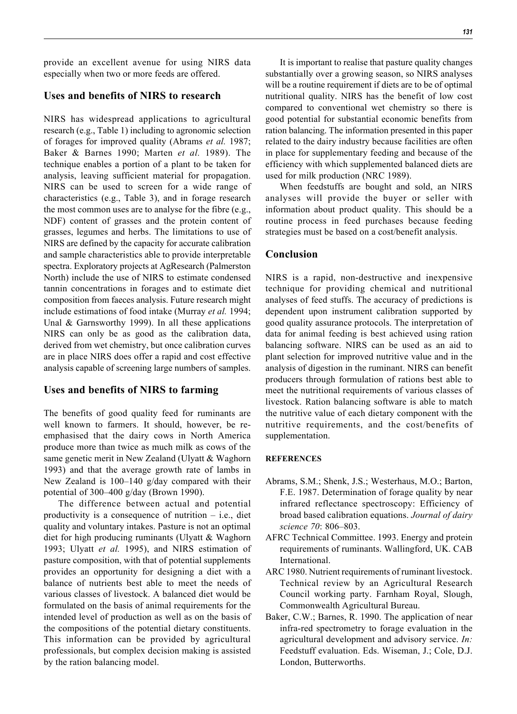provide an excellent avenue for using NIRS data especially when two or more feeds are offered.

# **Uses and benefits of NIRS to research**

NIRS has widespread applications to agricultural research (e.g., Table 1) including to agronomic selection of forages for improved quality (Abrams *et al.* 1987; Baker & Barnes 1990; Marten *et al.* 1989). The technique enables a portion of a plant to be taken for analysis, leaving sufficient material for propagation. NIRS can be used to screen for a wide range of characteristics (e.g., Table 3), and in forage research the most common uses are to analyse for the fibre (e.g., NDF) content of grasses and the protein content of grasses, legumes and herbs. The limitations to use of NIRS are defined by the capacity for accurate calibration and sample characteristics able to provide interpretable spectra. Exploratory projects at AgResearch (Palmerston North) include the use of NIRS to estimate condensed tannin concentrations in forages and to estimate diet composition from faeces analysis. Future research might include estimations of food intake (Murray *et al.* 1994; Unal & Garnsworthy 1999). In all these applications NIRS can only be as good as the calibration data, derived from wet chemistry, but once calibration curves are in place NIRS does offer a rapid and cost effective analysis capable of screening large numbers of samples.

## **Uses and benefits of NIRS to farming**

The benefits of good quality feed for ruminants are well known to farmers. It should, however, be reemphasised that the dairy cows in North America produce more than twice as much milk as cows of the same genetic merit in New Zealand (Ulyatt & Waghorn 1993) and that the average growth rate of lambs in New Zealand is 100–140 g/day compared with their potential of 300–400 g/day (Brown 1990).

The difference between actual and potential productivity is a consequence of nutrition  $-$  i.e., diet quality and voluntary intakes. Pasture is not an optimal diet for high producing ruminants (Ulyatt & Waghorn 1993; Ulyatt *et al.* 1995), and NIRS estimation of pasture composition, with that of potential supplements provides an opportunity for designing a diet with a balance of nutrients best able to meet the needs of various classes of livestock. A balanced diet would be formulated on the basis of animal requirements for the intended level of production as well as on the basis of the compositions of the potential dietary constituents. This information can be provided by agricultural professionals, but complex decision making is assisted by the ration balancing model.

substantially over a growing season, so NIRS analyses will be a routine requirement if diets are to be of optimal nutritional quality. NIRS has the benefit of low cost compared to conventional wet chemistry so there is good potential for substantial economic benefits from ration balancing. The information presented in this paper related to the dairy industry because facilities are often in place for supplementary feeding and because of the efficiency with which supplemented balanced diets are used for milk production (NRC 1989).

When feedstuffs are bought and sold, an NIRS analyses will provide the buyer or seller with information about product quality. This should be a routine process in feed purchases because feeding strategies must be based on a cost/benefit analysis.

## **Conclusion**

NIRS is a rapid, non-destructive and inexpensive technique for providing chemical and nutritional analyses of feed stuffs. The accuracy of predictions is dependent upon instrument calibration supported by good quality assurance protocols. The interpretation of data for animal feeding is best achieved using ration balancing software. NIRS can be used as an aid to plant selection for improved nutritive value and in the analysis of digestion in the ruminant. NIRS can benefit producers through formulation of rations best able to meet the nutritional requirements of various classes of livestock. Ration balancing software is able to match the nutritive value of each dietary component with the nutritive requirements, and the cost/benefits of supplementation.

#### **REFERENCES**

- Abrams, S.M.; Shenk, J.S.; Westerhaus, M.O.; Barton, F.E. 1987. Determination of forage quality by near infrared reflectance spectroscopy: Efficiency of broad based calibration equations. *Journal of dairy science 70*: 806–803.
- AFRC Technical Committee. 1993. Energy and protein requirements of ruminants. Wallingford, UK. CAB International.
- ARC 1980. Nutrient requirements of ruminant livestock. Technical review by an Agricultural Research Council working party. Farnham Royal, Slough, Commonwealth Agricultural Bureau.
- Baker, C.W.; Barnes, R. 1990. The application of near infra-red spectrometry to forage evaluation in the agricultural development and advisory service. *In:* Feedstuff evaluation. Eds. Wiseman, J.; Cole, D.J. London, Butterworths.